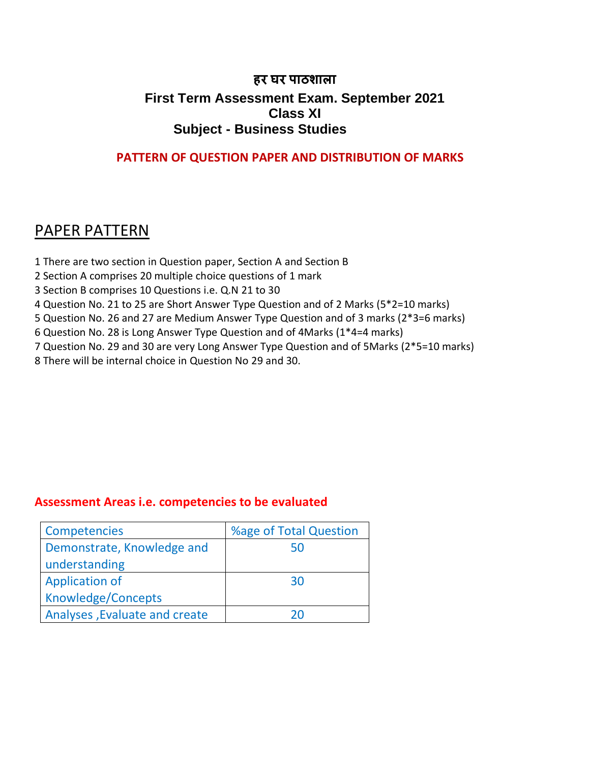#### **हर घर पाठशाला First Term Assessment Exam. September 2021 Class XI Subject - Business Studies**

#### **PATTERN OF QUESTION PAPER AND DISTRIBUTION OF MARKS**

### PAPER PATTERN

- 1 There are two section in Question paper, Section A and Section B
- 2 Section A comprises 20 multiple choice questions of 1 mark
- 3 Section B comprises 10 Questions i.e. Q.N 21 to 30
- 4 Question No. 21 to 25 are Short Answer Type Question and of 2 Marks (5\*2=10 marks)
- 5 Question No. 26 and 27 are Medium Answer Type Question and of 3 marks (2\*3=6 marks)
- 6 Question No. 28 is Long Answer Type Question and of 4Marks (1\*4=4 marks)
- 7 Question No. 29 and 30 are very Long Answer Type Question and of 5Marks (2\*5=10 marks)
- 8 There will be internal choice in Question No 29 and 30.

#### **Assessment Areas i.e. competencies to be evaluated**

| Competencies                  | %age of Total Question |  |  |  |
|-------------------------------|------------------------|--|--|--|
| Demonstrate, Knowledge and    | 50                     |  |  |  |
| understanding                 |                        |  |  |  |
| <b>Application of</b>         | 30                     |  |  |  |
| Knowledge/Concepts            |                        |  |  |  |
| Analyses, Evaluate and create | ንበ                     |  |  |  |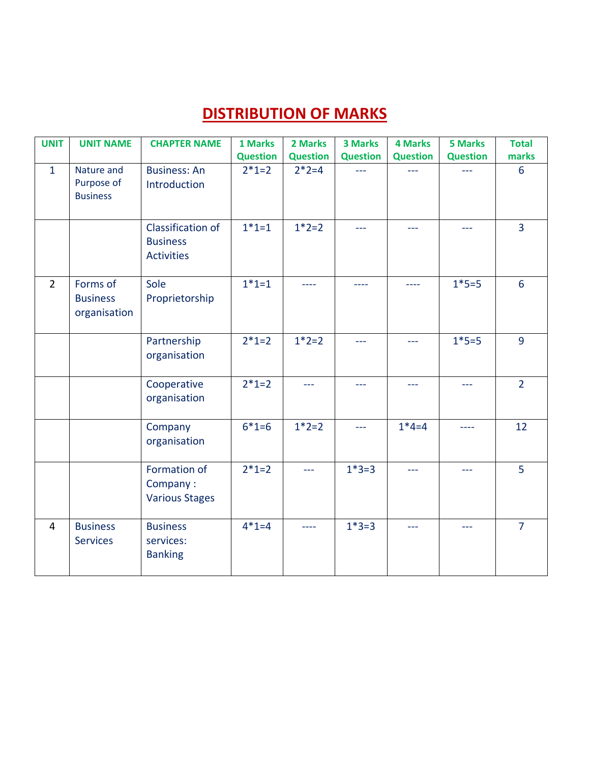### **DISTRIBUTION OF MARKS**

| <b>UNIT</b>    | <b>UNIT NAME</b>                            | <b>CHAPTER NAME</b>                                       | 1 Marks         | 2 Marks         | <b>3 Marks</b>  | <b>4 Marks</b>  | <b>5 Marks</b>  | <b>Total</b>    |
|----------------|---------------------------------------------|-----------------------------------------------------------|-----------------|-----------------|-----------------|-----------------|-----------------|-----------------|
|                |                                             |                                                           | <b>Question</b> | <b>Question</b> | <b>Question</b> | <b>Question</b> | <b>Question</b> | marks           |
| $\mathbf{1}$   | Nature and<br>Purpose of<br><b>Business</b> | <b>Business: An</b><br>Introduction                       | $2*1=2$         | $2*2=4$         | $---$           |                 |                 | 6               |
|                |                                             | Classification of<br><b>Business</b><br><b>Activities</b> | $1*1=1$         | $1*2=2$         | $---$           | $---$           | $---$           | $\overline{3}$  |
| $\overline{2}$ | Forms of<br><b>Business</b><br>organisation | Sole<br>Proprietorship                                    | $1*1=1$         | $\frac{1}{2}$   | ----            | $---$           | $1*5=5$         | $6\overline{6}$ |
|                |                                             | Partnership<br>organisation                               | $2 * 1 = 2$     | $1*2=2$         | $---$           | $-$             | $1*5=5$         | $\overline{9}$  |
|                |                                             | Cooperative<br>organisation                               | $2 * 1 = 2$     | $ -$            | $---$           | $ -$            | $---$           | $\overline{2}$  |
|                |                                             | Company<br>organisation                                   | $6*1=6$         | $1*2=2$         | $-$             | $1*4=4$         | ----            | 12              |
|                |                                             | Formation of<br>Company:<br><b>Various Stages</b>         | $2 * 1 = 2$     | <u></u>         | $1*3=3$         | $\overline{a}$  | $---$           | $\overline{5}$  |
| 4              | <b>Business</b><br><b>Services</b>          | <b>Business</b><br>services:<br><b>Banking</b>            | $4*1=4$         | $- - - -$       | $1*3=3$         | $---$           | $---$           | $\overline{7}$  |